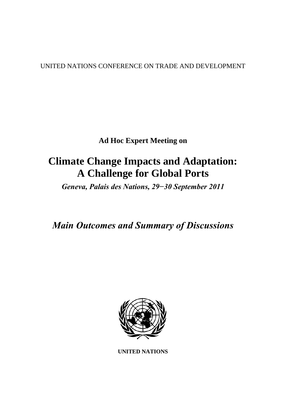UNITED NATIONS CONFERENCE ON TRADE AND DEVELOPMENT

**Ad Hoc Expert Meeting on** 

# **Climate Change Impacts and Adaptation: A Challenge for Global Ports**

*Geneva, Palais des Nations, 29−30 September 2011* 

*Main Outcomes and Summary of Discussions* 



**UNITED NATIONS**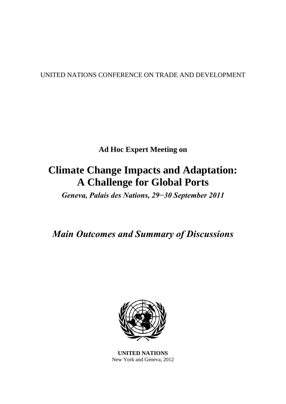# UNITED NATIONS CONFERENCE ON TRADE AND DEVELOPMENT

**Ad Hoc Expert Meeting on** 

# **Climate Change Impacts and Adaptation: A Challenge for Global Ports**

*Geneva, Palais des Nations, 29−30 September 2011* 

*Main Outcomes and Summary of Discussions* 



**UNITED NATIONS**  New York and Geneva, 2012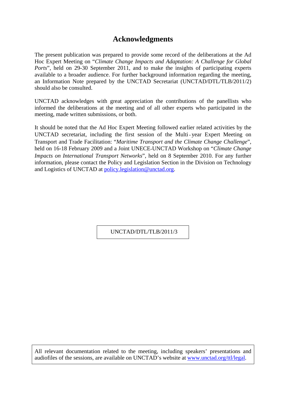# **Acknowledgments**

The present publication was prepared to provide some record of the deliberations at the Ad Hoc Expert Meeting on "*Climate Change Impacts and Adaptation: A Challenge for Global Ports*", held on 29-30 September 2011, and to make the insights of participating experts available to a broader audience. For further background information regarding the meeting, an Information Note prepared by the UNCTAD Secretariat (UNCTAD/DTL/TLB/2011/2) should also be consulted.

UNCTAD acknowledges with great appreciation the contributions of the panellists who informed the deliberations at the meeting and of all other experts who participated in the meeting, made written submissions, or both.

It should be noted that the Ad Hoc Expert Meeting followed earlier related activities by the UNCTAD secretariat, including the first session of the Multi year Expert Meeting on Transport and Trade Facilitation: "*Maritime Transport and the Climate Change Challenge*", held on 16-18 February 2009 and a Joint UNECE-UNCTAD Workshop on "*Climate Change Impacts on International Transport Networks*", held on 8 September 2010. For any further information, please contact the Policy and Legislation Section in the Division on Technology and Logistics of UNCTAD at [policy.legislation@unctad.org.](mailto:policy.legislation@unctad.org)

UNCTAD/DTL/TLB/2011/3

All relevant documentation related to the meeting, including speakers' presentations and audiofiles of the sessions, are available on UNCTAD's website at [www.unctad.org/ttl/legal](http://www.unctad.org/ttl/legal).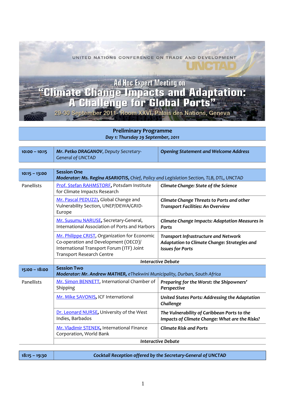UNITED NATIONS CONFERENCE ON TRADE AND DEVELOPMENT Ad Hoc Expert Meeting on<br>"Climate Change Impacts and Adaptation:<br>"A Challenge for Global Ports" 29-30 September 2011- Room XXVI, Palais des Nations, Geneva

> **Preliminary Programme** *Day 1: Thursday 29 September, 2011*

| $10:00 - 10:15$ | Mr. Petko DRAGANOV, Deputy Secretary-<br><b>General of UNCTAD</b>                                                                                               | <b>Opening Statement and Welcome Address</b>                                                                           |  |
|-----------------|-----------------------------------------------------------------------------------------------------------------------------------------------------------------|------------------------------------------------------------------------------------------------------------------------|--|
|                 |                                                                                                                                                                 |                                                                                                                        |  |
| $10:15 - 13:00$ | <b>Session One</b><br>Moderator: Ms. Regina ASARIOTIS, Chief, Policy and Legislation Section, TLB, DTL, UNCTAD                                                  |                                                                                                                        |  |
| Panellists      | Prof. Stefan RAHMSTORF, Potsdam Institute<br>for Climate Impacts Research                                                                                       | Climate Change: State of the Science                                                                                   |  |
|                 | Mr. Pascal PEDUZZI, Global Change and<br>Vulnerability Section, UNEP/DEWA/GRID-<br>Europe                                                                       | Climate Change Threats to Ports and other<br><b>Transport Facilities: An Overview</b>                                  |  |
|                 | Mr. Susumu NARUSE, Secretary-General,<br>International Association of Ports and Harbors                                                                         | Climate Change Impacts: Adaptation Measures in<br><b>Ports</b>                                                         |  |
|                 | Mr. Philippe CRIST, Organization for Economic<br>Co-operation and Development (OECD)/<br>International Transport Forum (ITF) Joint<br>Transport Research Centre | <b>Transport Infrastructure and Network</b><br>Adaptation to Climate Change: Strategies and<br><b>Issues for Ports</b> |  |
|                 | <b>Interactive Debate</b>                                                                                                                                       |                                                                                                                        |  |
| $15:00 - 18:00$ | <b>Session Two</b><br>Moderator: Mr. Andrew MATHER, eThekwini Municipality, Durban, South Africa                                                                |                                                                                                                        |  |
| Panellists      | Mr. Simon BENNETT, International Chamber of<br>Shipping                                                                                                         | Preparing for the Worst: the Shipowners'<br>Perspective                                                                |  |
|                 | Mr. Mike SAVONIS, ICF International                                                                                                                             | United States Ports: Addressing the Adaptation<br>Challenge                                                            |  |
|                 | Dr. Leonard NURSE, University of the West<br>Indies, Barbados                                                                                                   | The Vulnerability of Caribbean Ports to the<br>Impacts of Climate Change: What are the Risks?                          |  |
|                 | Mr. Vladimir STENEK, International Finance<br>Corporation, World Bank                                                                                           | <b>Climate Risk and Ports</b>                                                                                          |  |
|                 | <b>Interactive Debate</b>                                                                                                                                       |                                                                                                                        |  |

**18:15 – 19:30** *Cocktail Reception offered by the Secretary‐General of UNCTAD*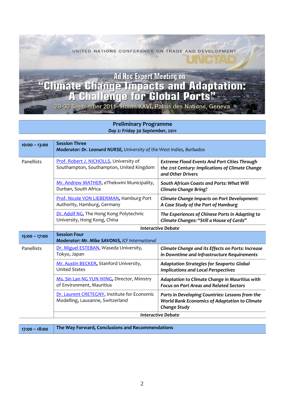UNITED NATIONS CONFERENCE ON TRADE AND DEVELOPMENT

# **Ad Hoc Expert Meeting on** "Climate Change Impacts and Adaptation:<br>"A Challenge for Global Ports"

29-30 September 2011 - Room XXVI, Palais des Nations, Geneva

#### **Preliminary Programme** *Day 2: Friday 30 September, 2011*

| $10:00 - 13:00$ | <b>Session Three</b><br>Moderator: Dr. Leonard NURSE, University of the West Indies, Barbados |                                                                                                                              |  |
|-----------------|-----------------------------------------------------------------------------------------------|------------------------------------------------------------------------------------------------------------------------------|--|
| Panellists      | Prof. Robert J. NICHOLLS, University of<br>Southampton, Southampton, United Kingdom           | <b>Extreme Flood Events And Port Cities Through</b><br>the 21st Century: Implications of Climate Change<br>and Other Drivers |  |
|                 | Mr. Andrew MATHER, eThekwini Municipality,<br>Durban, South Africa                            | South African Coasts and Ports: What Will<br><b>Climate Change Bring?</b>                                                    |  |
|                 | Prof. Nicole VON LIEBERMAN, Hamburg Port<br>Authority, Hamburg, Germany                       | Climate Change Impacts on Port Development:<br>A Case Study of the Port of Hamburg                                           |  |
|                 | Dr. Adolf NG, The Hong Kong Polytechnic<br>University, Hong Kong, China                       | The Experiences of Chinese Ports in Adapting to<br>Climate Changes: "Still a House of Cards"                                 |  |
|                 | <b>Interactive Debate</b>                                                                     |                                                                                                                              |  |
| $15:00 - 17:00$ | <b>Session Four</b><br>Moderator: Mr. Mike SAVONIS, ICF International                         |                                                                                                                              |  |
| Panellists      | Dr. Miguel ESTEBAN, Waseda University,<br>Tokyo, Japan                                        | Climate Change and its Effects on Ports: Increase<br>in Downtime and Infrastructure Requirements                             |  |
|                 | Mr. Austin BECKER, Stanford University,<br><b>United States</b>                               | <b>Adaptation Strategies for Seaports: Global</b><br><b>Implications and Local Perspectives</b>                              |  |
|                 | Ms. Sin Lan NG YUN WING, Director, Ministry<br>of Environment, Mauritius                      | Adaptation to Climate Change in Mauritius with<br><b>Focus on Port Areas and Related Sectors</b>                             |  |
|                 | Dr. Laurent CRETEGNY, Institute for Economic<br>Modelling, Lausanne, Switzerland              | Ports in Developing Countries: Lessons from the<br>World Bank Economics of Adaptation to Climate<br><b>Change Study</b>      |  |
|                 | <b>Interactive Debate</b>                                                                     |                                                                                                                              |  |

**The Way Forward, Conclusions and Recommendations 17:00 – 18:00**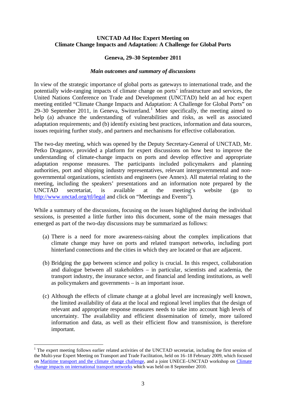#### **UNCTAD Ad Hoc Expert Meeting on Climate Change Impacts and Adaptation: A Challenge for Global Ports**

#### **Geneva, 29–30 September 2011**

#### *Main outcomes and summary of discussions*

In view of the strategic importance of global ports as gateways to international trade, and the potentially wide-ranging impacts of climate change on ports' infrastructure and services, the United Nations Conference on Trade and Development (UNCTAD) held an ad hoc expert meeting entitled "Climate Change Impacts and Adaptation: A Challenge for Global Ports" on 29–30 September 20[1](#page-6-0)1, in Geneva, Switzerland.<sup>1</sup> More specifically, the meeting aimed to help (a) advance the understanding of vulnerabilities and risks, as well as associated adaptation requirements; and (b) identify existing best practices, information and data sources, issues requiring further study, and partners and mechanisms for effective collaboration.

The two-day meeting, which was opened by the Deputy Secretary-General of UNCTAD, Mr. Petko Draganov, provided a platform for expert discussions on how best to improve the understanding of climate-change impacts on ports and develop effective and appropriate adaptation response measures. The participants included policymakers and planning authorities, port and shipping industry representatives, relevant intergovernmental and nongovernmental organizations, scientists and engineers (see Annex). All material relating to the meeting, including the speakers' presentations and an information note prepared by the UNCTAD secretariat, is available at the meeting's website (go to <http://www.unctad.org/ttl/legal>and click on "Meetings and Events").

While a summary of the discussions, focusing on the issues highlighted during the individual sessions, is presented a little further into this document, some of the main messages that emerged as part of the two-day discussions may be summarized as follows:

- (a) There is a need for more awareness-raising about the complex implications that climate change may have on ports and related transport networks, including port hinterland connections and the cities in which they are located or that are adjacent.
- (b) Bridging the gap between science and policy is crucial. In this respect, collaboration and dialogue between all stakeholders – in particular, scientists and academia, the transport industry, the insurance sector, and financial and lending institutions, as well as policymakers and governments – is an important issue.
- (c) Although the effects of climate change at a global level are increasingly well known, the limited availability of data at the local and regional level implies that the design of relevant and appropriate response measures needs to take into account high levels of uncertainty. The availability and efficient dissemination of timely, more tailored information and data, as well as their efficient flow and transmission, is therefore important.

<u>.</u>

<span id="page-6-0"></span><sup>&</sup>lt;sup>1</sup> The expert meeting follows earlier related activities of the UNCTAD secretariat, including the first session of the Multi-year Expert Meeting on Transport and Trade Facilitation, held on 16–18 February 2009, which focused on [Maritime transport and the climate change challenge](http://www.unctad.org/Templates/meeting.asp?intItemID=4692&lang=1&m=15862&info=highlights), and a joint UNECE–UNCTAD workshop on [Climate](http://www.unctad.org/Templates/meeting.asp?intItemID=2068&lang=1&m=20101)  [change impacts on international transport networks](http://www.unctad.org/Templates/meeting.asp?intItemID=2068&lang=1&m=20101) which was held on 8 September 2010.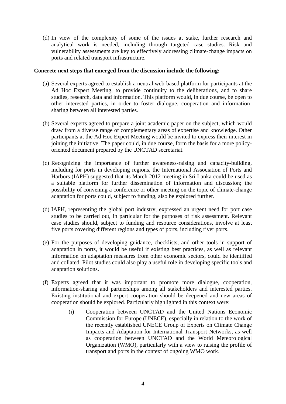(d) In view of the complexity of some of the issues at stake, further research and analytical work is needed, including through targeted case studies. Risk and vulnerability assessments are key to effectively addressing climate-change impacts on ports and related transport infrastructure.

#### **Concrete next steps that emerged from the discussion include the following:**

- (a) Several experts agreed to establish a neutral web-based platform for participants at the Ad Hoc Expert Meeting, to provide continuity to the deliberations, and to share studies, research, data and information. This platform would, in due course, be open to other interested parties, in order to foster dialogue, cooperation and informationsharing between all interested parties.
- (b) Several experts agreed to prepare a joint academic paper on the subject, which would draw from a diverse range of complementary areas of expertise and knowledge. Other participants at the Ad Hoc Expert Meeting would be invited to express their interest in joining the initiative. The paper could, in due course, form the basis for a more policyoriented document prepared by the UNCTAD secretariat.
- (c) Recognizing the importance of further awareness-raising and capacity-building, including for ports in developing regions, the International Association of Ports and Harbors (IAPH) suggested that its March 2012 meeting in Sri Lanka could be used as a suitable platform for further dissemination of information and discussion; the possibility of convening a conference or other meeting on the topic of climate-change adaptation for ports could, subject to funding, also be explored further.
- (d) IAPH, representing the global port industry, expressed an urgent need for port case studies to be carried out, in particular for the purposes of risk assessment. Relevant case studies should, subject to funding and resource considerations, involve at least five ports covering different regions and types of ports, including river ports.
- (e) For the purposes of developing guidance, checklists, and other tools in support of adaptation in ports, it would be useful if existing best practices, as well as relevant information on adaptation measures from other economic sectors, could be identified and collated. Pilot studies could also play a useful role in developing specific tools and adaptation solutions.
- (f) Experts agreed that it was important to promote more dialogue, cooperation, information-sharing and partnerships among all stakeholders and interested parties. Existing institutional and expert cooperation should be deepened and new areas of cooperation should be explored. Particularly highlighted in this context were:
	- (i) Cooperation between UNCTAD and the United Nations Economic Commission for Europe (UNECE), especially in relation to the work of the recently established UNECE Group of Experts on Climate Change Impacts and Adaptation for International Transport Networks, as well as cooperation between UNCTAD and the World Meteorological Organization (WMO), particularly with a view to raising the profile of transport and ports in the context of ongoing WMO work.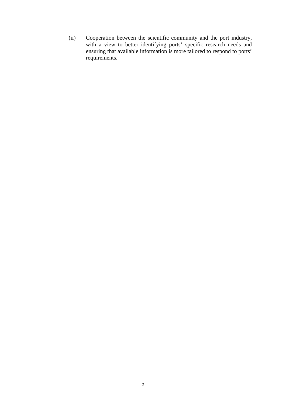(ii) Cooperation between the scientific community and the port industry, with a view to better identifying ports' specific research needs and ensuring that available information is more tailored to respond to ports' requirements.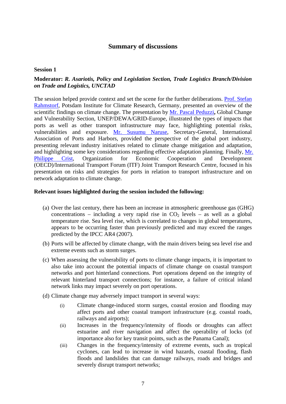# **Summary of discussions**

#### **Session 1**

# **Moderator:** *R. Asariotis, Policy and Legislation Section, Trade Logistics Branch/Division on Trade and Logistics, UNCTAD*

The session helped provide context and set the scene for the further deliberations. [Prof. Stefan](http://www.unctad.org/sections/wcmu/docs/AHM2011_2_01_Rahmstorf_en.pdf)  [Rahmstorf,](http://www.unctad.org/sections/wcmu/docs/AHM2011_2_01_Rahmstorf_en.pdf) Potsdam Institute for Climate Research, Germany, presented an overview of the scientific findings on climate change. The presentation by [Mr. Pascal Peduzzi](http://www.unctad.org/sections/wcmu/docs/AHM2011_2_02_Peduzzi_en.pdf)**,** Global Change and Vulnerability Section, UNEP/DEWA/GRID-Europe, illustrated the types of impacts that ports as well as other transport infrastructure may face, highlighting potential risks, vulnerabilities and exposure. [Mr. Susumu Naruse](http://www.unctad.org/sections/wcmu/docs/AHM2011_2_03_Naruse_en.pdf), Secretary-General, International Association of Ports and Harbors, provided the perspective of the global port industry, presenting relevant industry initiatives related to climate change mitigation and adaptation, and highlighting some key considerations regarding effective adaptation planning. Finally, [Mr.](http://www.unctad.org/sections/wcmu/docs/AHM2011_2_04_Crist_en.pdf)  [Philippe Crist,](http://www.unctad.org/sections/wcmu/docs/AHM2011_2_04_Crist_en.pdf) Organization for Economic Cooperation and Development (OECD)/International Transport Forum (ITF) Joint Transport Research Centre, focused in his presentation on risks and strategies for ports in relation to transport infrastructure and on network adaptation to climate change.

- (a) Over the last century, there has been an increase in atmospheric greenhouse gas (GHG) concentrations – including a very rapid rise in  $CO<sub>2</sub>$  levels – as well as a global temperature rise. Sea level rise, which is correlated to changes in global temperatures, appears to be occurring faster than previously predicted and may exceed the ranges predicted by the IPCC AR4 (2007).
- (b) Ports will be affected by climate change, with the main drivers being sea level rise and extreme events such as storm surges.
- (c) When assessing the vulnerability of ports to climate change impacts, it is important to also take into account the potential impacts of climate change on coastal transport networks and port hinterland connections. Port operations depend on the integrity of relevant hinterland transport connections; for instance, a failure of critical inland network links may impact severely on port operations.
- (d) Climate change may adversely impact transport in several ways:
	- (i) Climate change-induced storm surges, coastal erosion and flooding may affect ports and other coastal transport infrastructure (e.g. coastal roads, railways and airports);
	- (ii) Increases in the frequency/intensity of floods or droughts can affect estuarine and river navigation and affect the operability of locks (of importance also for key transit points, such as the Panama Canal);
	- (iii) Changes in the frequency/intensity of extreme events, such as tropical cyclones, can lead to increase in wind hazards, coastal flooding, flash floods and landslides that can damage railways, roads and bridges and severely disrupt transport networks;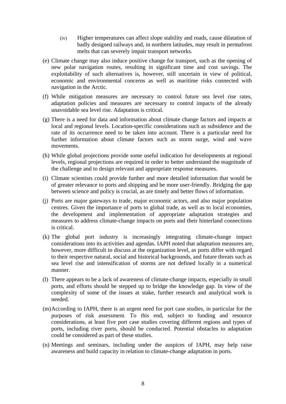- (iv) Higher temperatures can affect slope stability and roads, cause dilatation of badly designed railways and, in northern latitudes, may result in permafrost melts that can severely impair transport networks.
- (e) Climate change may also induce positive change for transport, such as the opening of new polar navigation routes, resulting in significant time and cost savings. The exploitability of such alternatives is, however, still uncertain in view of political, economic and environmental concerns as well as maritime risks connected with navigation in the Arctic.
- (f) While mitigation measures are necessary to control future sea level rise rates, adaptation policies and measures are necessary to control impacts of the already unavoidable sea level rise. Adaptation is critical.
- (g) There is a need for data and information about climate change factors and impacts at local and regional levels. Location-specific considerations such as subsidence and the rate of its occurrence need to be taken into account. There is a particular need for further information about climate factors such as storm surge, wind and wave movements.
- (h) While global projections provide some useful indication for developments at regional levels, regional projections are required in order to better understand the magnitude of the challenge and to design relevant and appropriate response measures.
- (i) Climate scientists could provide further and more detailed information that would be of greater relevance to ports and shipping and be more user-friendly. Bridging the gap between science and policy is crucial, as are timely and better flows of information.
- (j) Ports are major gateways to trade, major economic actors, and also major population centres. Given the importance of ports to global trade, as well as to local economies, the development and implementation of appropriate adaptation strategies and measures to address climate-change impacts on ports and their hinterland connections is critical.
- (k) The global port industry is increasingly integrating climate-change impact considerations into its activities and agendas. IAPH noted that adaptation measures are, however, more difficult to discuss at the organization level, as ports differ with regard to their respective natural, social and historical backgrounds, and future threats such as sea level rise and intensification of storms are not defined locally in a numerical manner.
- (l) There appears to be a lack of awareness of climate-change impacts, especially in small ports, and efforts should be stepped up to bridge the knowledge gap. In view of the complexity of some of the issues at stake, further research and analytical work is needed.
- (m)According to IAPH, there is an urgent need for port case studies, in particular for the purposes of risk assessment. To this end, subject to funding and resource considerations, at least five port case studies covering different regions and types of ports, including river ports, should be conducted. Potential obstacles to adaptation could be considered as part of these studies.
- (n) Meetings and seminars, including under the auspices of IAPH, may help raise awareness and build capacity in relation to climate-change adaptation in ports.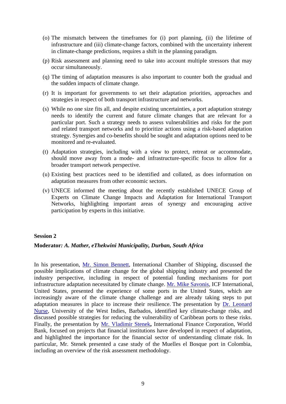- (o) The mismatch between the timeframes for (i) port planning, (ii) the lifetime of infrastructure and (iii) climate-change factors, combined with the uncertainty inherent in climate-change predictions, requires a shift in the planning paradigm.
- (p) Risk assessment and planning need to take into account multiple stressors that may occur simultaneously.
- (q) The timing of adaptation measures is also important to counter both the gradual and the sudden impacts of climate change.
- (r) It is important for governments to set their adaptation priorities, approaches and strategies in respect of both transport infrastructure and networks.
- (s) While no one size fits all, and despite existing uncertainties, a port adaptation strategy needs to identify the current and future climate changes that are relevant for a particular port. Such a strategy needs to assess vulnerabilities and risks for the port and related transport networks and to prioritize actions using a risk-based adaptation strategy. Synergies and co-benefits should be sought and adaptation options need to be monitored and re-evaluated.
- (t) Adaptation strategies, including with a view to protect, retreat or accommodate, should move away from a mode- and infrastructure-specific focus to allow for a broader transport network perspective.
- (u) Existing best practices need to be identified and collated, as does information on adaptation measures from other economic sectors.
- (v) UNECE informed the meeting about the recently established UNECE Group of Experts on Climate Change Impacts and Adaptation for International Transport Networks, highlighting important areas of synergy and encouraging active participation by experts in this initiative.

#### **Session 2**

#### **Moderator***: A. Mather, eThekwini Municipality, Durban, South Africa*

In his presentation, [Mr. Simon Bennett](http://www.unctad.org/sections/wcmu/docs/AHM2011_2_05_Bennett_en.pdf), International Chamber of Shipping, discussed the possible implications of climate change for the global shipping industry and presented the industry perspective, including in respect of potential funding mechanisms for port infrastructure adaptation necessitated by climate change. [Mr. Mike Savonis,](http://www.unctad.org/sections/wcmu/docs/AHM2011_2_06_Savonis_en.pdf) ICF International, United States, presented the experience of some ports in the United States, which are increasingly aware of the climate change challenge and are already taking steps to put adaptation measures in place to increase their resilience. The presentation by [Dr. Leonard](http://www.unctad.org/sections/wcmu/docs/AHM2011_2_07_Nurse_en.pdf)  [Nurse,](http://www.unctad.org/sections/wcmu/docs/AHM2011_2_07_Nurse_en.pdf) University of the West Indies, Barbados, identified key climate-change risks, and discussed possible strategies for reducing the vulnerability of Caribbean ports to these risks. Finally, the presentation by [Mr. Vladimir Stenek](http://www.unctad.org/sections/wcmu/docs/AHM2011_2_08_Stenek_en.pdf)**,** International Finance Corporation, World Bank, focused on projects that financial institutions have developed in respect of adaptation, and highlighted the importance for the financial sector of understanding climate risk. In particular, Mr. Stenek presented a case study of the Muelles el Bosque port in Colombia, including an overview of the risk assessment methodology.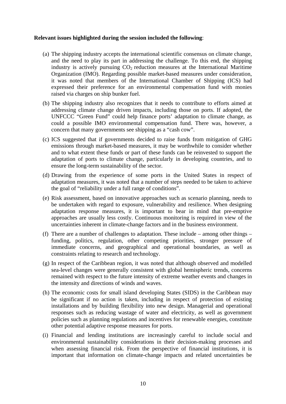- (a) The shipping industry accepts the international scientific consensus on climate change, and the need to play its part in addressing the challenge. To this end, the shipping industry is actively pursuing  $CO<sub>2</sub>$  reduction measures at the International Maritime Organization (IMO). Regarding possible market-based measures under consideration, it was noted that members of the International Chamber of Shipping (ICS) had expressed their preference for an environmental compensation fund with monies raised via charges on ship bunker fuel.
- (b) The shipping industry also recognizes that it needs to contribute to efforts aimed at addressing climate change driven impacts, including those on ports. If adopted, the UNFCCC "Green Fund" could help finance ports' adaptation to climate change, as could a possible IMO environmental compensation fund. There was, however, a concern that many governments see shipping as a "cash cow".
- (c) ICS suggested that if governments decided to raise funds from mitigation of GHG emissions through market-based measures, it may be worthwhile to consider whether and to what extent these funds or part of these funds can be reinvested to support the adaptation of ports to climate change, particularly in developing countries, and to ensure the long-term sustainability of the sector.
- (d) Drawing from the experience of some ports in the United States in respect of adaptation measures, it was noted that a number of steps needed to be taken to achieve the goal of "reliability under a full range of conditions".
- (e) Risk assessment, based on innovative approaches such as scenario planning, needs to be undertaken with regard to exposure, vulnerability and resilience. When designing adaptation response measures, it is important to bear in mind that pre-emptive approaches are usually less costly. Continuous monitoring is required in view of the uncertainties inherent in climate-change factors and in the business environment.
- (f) There are a number of challenges to adaptation. These include among other things funding, politics, regulation, other competing priorities, stronger pressure of immediate concerns, and geographical and operational boundaries, as well as constraints relating to research and technology.
- (g) In respect of the Caribbean region, it was noted that although observed and modelled sea-level changes were generally consistent with global hemispheric trends, concerns remained with respect to the future intensity of extreme weather events and changes in the intensity and directions of winds and waves.
- (h) The economic costs for small island developing States (SIDS) in the Caribbean may be significant if no action is taken, including in respect of protection of existing installations and by building flexibility into new design. Managerial and operational responses such as reducing wastage of water and electricity, as well as government policies such as planning regulations and incentives for renewable energies, constitute other potential adaptive response measures for ports.
- (i) Financial and lending institutions are increasingly careful to include social and environmental sustainability considerations in their decision-making processes and when assessing financial risk. From the perspective of financial institutions, it is important that information on climate-change impacts and related uncertainties be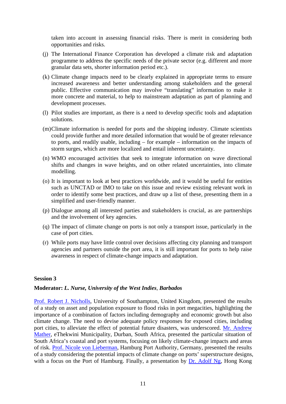taken into account in assessing financial risks. There is merit in considering both opportunities and risks.

- (j) The International Finance Corporation has developed a climate risk and adaptation programme to address the specific needs of the private sector (e.g. different and more granular data sets, shorter information period etc.).
- (k) Climate change impacts need to be clearly explained in appropriate terms to ensure increased awareness and better understanding among stakeholders and the general public. Effective communication may involve "translating" information to make it more concrete and material, to help to mainstream adaptation as part of planning and development processes.
- (l) Pilot studies are important, as there is a need to develop specific tools and adaptation solutions.
- (m)Climate information is needed for ports and the shipping industry. Climate scientists could provide further and more detailed information that would be of greater relevance to ports, and readily usable, including – for example – information on the impacts of storm surges, which are more localized and entail inherent uncertainty.
- (n) WMO encouraged activities that seek to integrate information on wave directional shifts and changes in wave heights, and on other related uncertainties, into climate modelling.
- (o) It is important to look at best practices worldwide, and it would be useful for entities such as UNCTAD or IMO to take on this issue and review existing relevant work in order to identify some best practices, and draw up a list of these, presenting them in a simplified and user-friendly manner.
- (p) Dialogue among all interested parties and stakeholders is crucial, as are partnerships and the involvement of key agencies.
- (q) The impact of climate change on ports is not only a transport issue, particularly in the case of port cities.
- (r) While ports may have little control over decisions affecting city planning and transport agencies and partners outside the port area, it is still important for ports to help raise awareness in respect of climate-change impacts and adaptation.

#### **Session 3**

#### **Moderator:** *L. Nurse, University of the West Indies, Barbados*

[Prof. Robert J. Nicholls,](http://www.unctad.org/sections/wcmu/docs/AHM2011_2_09_Nicholls_en.pdf) University of Southampton, United Kingdom, presented the results of a study on asset and population exposure to flood risks in port megacities, highlighting the importance of a combination of factors including demography and economic growth but also climate change. The need to devise adequate policy responses for exposed cities, including port cities, to alleviate the effect of potential future disasters, was underscored. [Mr. Andrew](http://www.unctad.org/sections/wcmu/docs/AHM2011_2_10_Mather_en.pdf)  [Mather,](http://www.unctad.org/sections/wcmu/docs/AHM2011_2_10_Mather_en.pdf) eThekwini Municipality, Durban, South Africa, presented the particular situation of South Africa's coastal and port systems, focusing on likely climate-change impacts and areas of risk. [Prof. Nicole von Lieberman](http://www.unctad.org/sections/wcmu/docs/AHM2011_2_11_vonLieberman_en.pdf), Hamburg Port Authority, Germany, presented the results of a study considering the potential impacts of climate change on ports' superstructure designs, with a focus on the Port of Hamburg. Finally, a presentation by [Dr. Adolf Ng,](http://www.unctad.org/sections/wcmu/docs/AHM2011_2_12_Adolf_Ng_en.pdf) Hong Kong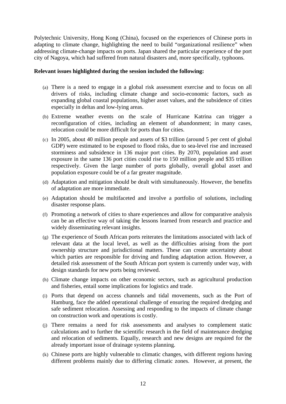Polytechnic University, Hong Kong (China), focused on the experiences of Chinese ports in adapting to climate change, highlighting the need to build "organizational resilience" when addressing climate-change impacts on ports. Japan shared the particular experience of the port city of Nagoya, which had suffered from natural disasters and, more specifically, typhoons.

- (a) There is a need to engage in a global risk assessment exercise and to focus on all drivers of risks, including climate change and socio-economic factors, such as expanding global coastal populations, higher asset values, and the subsidence of cities especially in deltas and low-lying areas.
- (b) Extreme weather events on the scale of Hurricane Katrina can trigger a reconfiguration of cities, including an element of abandonment; in many cases, relocation could be more difficult for ports than for cities.
- (c) In 2005, about 40 million people and assets of \$3 trillion (around 5 per cent of global GDP) were estimated to be exposed to flood risks, due to sea-level rise and increased storminess and subsidence in 136 major port cities. By 2070, population and asset exposure in the same 136 port cities could rise to 150 million people and \$35 trillion respectively. Given the large number of ports globally, overall global asset and population exposure could be of a far greater magnitude.
- (d) Adaptation and mitigation should be dealt with simultaneously. However, the benefits of adaptation are more immediate.
- (e) Adaptation should be multifaceted and involve a portfolio of solutions, including disaster response plans.
- (f) Promoting a network of cities to share experiences and allow for comparative analysis can be an effective way of taking the lessons learned from research and practice and widely disseminating relevant insights.
- (g) The experience of South African ports reiterates the limitations associated with lack of relevant data at the local level, as well as the difficulties arising from the port ownership structure and jurisdictional matters. These can create uncertainty about which parties are responsible for driving and funding adaptation action. However, a detailed risk assessment of the South African port system is currently under way, with design standards for new ports being reviewed.
- (h) Climate change impacts on other economic sectors, such as agricultural production and fisheries, entail some implications for logistics and trade.
- (i) Ports that depend on access channels and tidal movements, such as the Port of Hamburg, face the added operational challenge of ensuring the required dredging and safe sediment relocation. Assessing and responding to the impacts of climate change on construction work and operations is costly.
- (j) There remains a need for risk assessments and analyses to complement static calculations and to further the scientific research in the field of maintenance dredging and relocation of sediments. Equally, research and new designs are required for the already important issue of drainage systems planning.
- (k) Chinese ports are highly vulnerable to climatic changes, with different regions having different problems mainly due to differing climatic zones. However, at present, the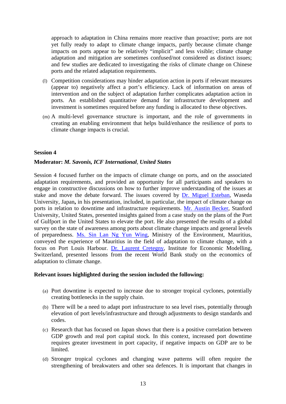approach to adaptation in China remains more reactive than proactive; ports are not yet fully ready to adapt to climate change impacts, partly because climate change impacts on ports appear to be relatively "implicit" and less visible; climate change adaptation and mitigation are sometimes confused/not considered as distinct issues; and few studies are dedicated to investigating the risks of climate change on Chinese ports and the related adaptation requirements.

- (l) Competition considerations may hinder adaptation action in ports if relevant measures (appear to) negatively affect a port's efficiency. Lack of information on areas of intervention and on the subject of adaptation further complicates adaptation action in ports. An established quantitative demand for infrastructure development and investment is sometimes required before any funding is allocated to these objectives.
- (m) A multi-level governance structure is important, and the role of governments in creating an enabling environment that helps build/enhance the resilience of ports to climate change impacts is crucial.

#### **Session 4**

#### **Moderator:** *M. Savonis, ICF International, United States*

Session 4 focused further on the impacts of climate change on ports, and on the associated adaptation requirements, and provided an opportunity for all participants and speakers to engage in constructive discussions on how to further improve understanding of the issues at stake and move the debate forward. The issues covered by [Dr. Miguel Esteban](http://www.unctad.org/sections/wcmu/docs/AHM2011_2_13_Esteban_en.pdf), Waseda University, Japan**,** in his presentation, included, in particular, the impact of climate change on ports in relation to downtime and infrastructure requirements. [Mr. Austin Becker,](http://www.unctad.org/sections/wcmu/docs/AHM2011_2_14_Becker_en.pdf) Stanford University, United States, presented insights gained from a case study on the plans of the Port of Gulfport in the United States to elevate the port. He also presented the results of a global survey on the state of awareness among ports about climate change impacts and general levels of preparedness. [Ms. Sin Lan Ng Yun Wing](http://www.unctad.org/sections/wcmu/docs/AHM2011_2_15_Ng_Yun_Wing_en.pdf), Ministry of the Environment, Mauritius, conveyed the experience of Mauritius in the field of adaptation to climate change, with a focus on Port Louis Harbour. [Dr. Laurent Cretegny,](http://www.unctad.org/sections/wcmu/docs/AHM2011_2_16_Cretegny_en.pdf) Institute for Economic Modelling, Switzerland, presented lessons from the recent World Bank study on the economics of adaptation to climate change.

- (a) Port downtime is expected to increase due to stronger tropical cyclones, potentially creating bottlenecks in the supply chain.
- (b) There will be a need to adapt port infrastructure to sea level rises, potentially through elevation of port levels/infrastructure and through adjustments to design standards and codes.
- (c) Research that has focused on Japan shows that there is a positive correlation between GDP growth and real port capital stock. In this context, increased port downtime requires greater investment in port capacity, if negative impacts on GDP are to be limited.
- (d) Stronger tropical cyclones and changing wave patterns will often require the strengthening of breakwaters and other sea defences. It is important that changes in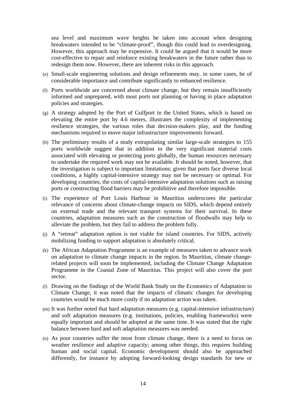sea level and maximum wave heights be taken into account when designing breakwaters intended to be "climate-proof", though this could lead to overdesigning. However, this approach may be expensive. It could be argued that it would be more cost-effective to repair and reinforce existing breakwaters in the future rather than to redesign them now. However, there are inherent risks in this approach.

- (e) Small-scale engineering solutions and design refinements may, in some cases, be of considerable importance and contribute significantly to enhanced resilience.
- (f) Ports worldwide are concerned about climate change, but they remain insufficiently informed and unprepared, with most ports not planning or having in place adaptation policies and strategies.
- (g) A strategy adopted by the Port of Gulfport in the United States, which is based on elevating the entire port by 4.6 metres, illustrates the complexity of implementing resilience strategies, the various roles that decision-makers play, and the funding mechanisms required to move major infrastructure improvements forward.
- (h) The preliminary results of a study extrapolating similar large-scale strategies to 155 ports worldwide suggest that in addition to the very significant material costs associated with elevating or protecting ports globally, the human resources necessary to undertake the required work may not be available. It should be noted, however, that the investigation is subject to important limitations; given that ports face diverse local conditions, a highly capital-intensive strategy may not be necessary or optimal. For developing countries, the costs of capital-intensive adaptation solutions such as raising ports or constructing flood barriers may be prohibitive and therefore impossible.
- (i) The experience of Port Louis Harbour in Mauritius underscores the particular relevance of concerns about climate-change impacts on SIDS, which depend entirely on external trade and the relevant transport systems for their survival. In these countries, adaptation measures such as the construction of floodwalls may help to alleviate the problem, but they fail to address the problem fully.
- (j) A "retreat" adaptation option is not viable for island countries. For SIDS, actively mobilizing funding to support adaptation is absolutely critical.
- (k) The African Adaptation Programme is an example of measures taken to advance work on adaptation to climate change impacts in the region. In Mauritius, climate changerelated projects will soon be implemented, including the Climate Change Adaptation Programme in the Coastal Zone of Mauritius. This project will also cover the port sector.
- (l) Drawing on the findings of the World Bank Study on the Economics of Adaptation to Climate Change, it was noted that the impacts of climatic changes for developing countries would be much more costly if no adaptation action was taken.
- (m) It was further noted that hard adaptation measures (e.g. capital-intensive infrastructure) and soft adaptation measures (e.g. institutions, policies, enabling frameworks) were equally important and should be adopted at the same time. It was stated that the right balance between hard and soft adaptation measures was needed.
- (n) As poor countries suffer the most from climate change, there is a need to focus on weather resilience and adaptive capacity; among other things, this requires building human and social capital. Economic development should also be approached differently, for instance by adopting forward-looking design standards for new or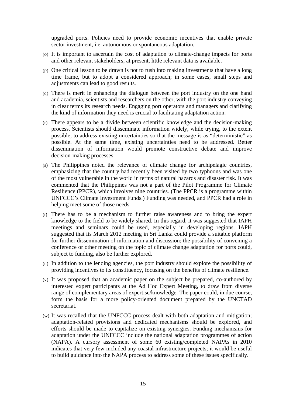upgraded ports. Policies need to provide economic incentives that enable private sector investment, i.e. autonomous or spontaneous adaptation.

- (o) It is important to ascertain the cost of adaptation to climate-change impacts for ports and other relevant stakeholders; at present, little relevant data is available.
- (p) One critical lesson to be drawn is not to rush into making investments that have a long time frame, but to adopt a considered approach; in some cases, small steps and adjustments can lead to good results.
- (q) There is merit in enhancing the dialogue between the port industry on the one hand and academia, scientists and researchers on the other, with the port industry conveying in clear terms its research needs. Engaging port operators and managers and clarifying the kind of information they need is crucial to facilitating adaptation action.
- (r) There appears to be a divide between scientific knowledge and the decision-making process. Scientists should disseminate information widely, while trying, to the extent possible, to address existing uncertainties so that the message is as "deterministic" as possible. At the same time, existing uncertainties need to be addressed. Better dissemination of information would promote constructive debate and improve decision-making processes.
- (s) The Philippines noted the relevance of climate change for archipelagic countries, emphasizing that the country had recently been visited by two typhoons and was one of the most vulnerable in the world in terms of natural hazards and disaster risk. It was commented that the Philippines was not a part of the Pilot Programme for Climate Resilience (PPCR), which involves nine countries. (The PPCR is a programme within UNFCCC's Climate Investment Funds.) Funding was needed, and PPCR had a role in helping meet some of those needs.
- (t) There has to be a mechanism to further raise awareness and to bring the expert knowledge to the field to be widely shared. In this regard, it was suggested that IAPH meetings and seminars could be used, especially in developing regions. IAPH suggested that its March 2012 meeting in Sri Lanka could provide a suitable platform for further dissemination of information and discussion; the possibility of convening a conference or other meeting on the topic of climate change adaptation for ports could, subject to funding, also be further explored.
- (u) In addition to the lending agencies, the port industry should explore the possibility of providing incentives to its constituency, focusing on the benefits of climate resilience.
- (v) It was proposed that an academic paper on the subject be prepared, co-authored by interested expert participants at the Ad Hoc Expert Meeting, to draw from diverse range of complementary areas of expertise/knowledge. The paper could, in due course, form the basis for a more policy-oriented document prepared by the UNCTAD secretariat.
- (w) It was recalled that the UNFCCC process dealt with both adaptation and mitigation; adaptation-related provisions and dedicated mechanisms should be explored, and efforts should be made to capitalize on existing synergies. Funding mechanisms for adaptation under the UNFCCC include the national adaptation programmes of action (NAPA). A cursory assessment of some 60 existing/completed NAPAs in 2010 indicates that very few included any coastal infrastructure projects; it would be useful to build guidance into the NAPA process to address some of these issues specifically.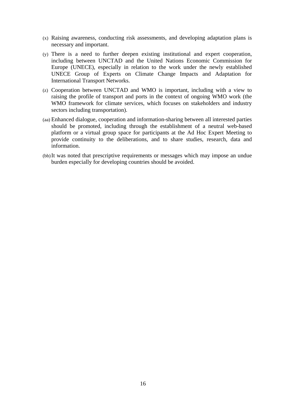- (x) Raising awareness, conducting risk assessments, and developing adaptation plans is necessary and important.
- (y) There is a need to further deepen existing institutional and expert cooperation, including between UNCTAD and the United Nations Economic Commission for Europe (UNECE), especially in relation to the work under the newly established UNECE Group of Experts on Climate Change Impacts and Adaptation for International Transport Networks.
- (z) Cooperation between UNCTAD and WMO is important, including with a view to raising the profile of transport and ports in the context of ongoing WMO work (the WMO framework for climate services, which focuses on stakeholders and industry sectors including transportation).
- (aa) Enhanced dialogue, cooperation and information-sharing between all interested parties should be promoted, including through the establishment of a neutral web-based platform or a virtual group space for participants at the Ad Hoc Expert Meeting to provide continuity to the deliberations, and to share studies, research, data and information.
- (bb)It was noted that prescriptive requirements or messages which may impose an undue burden especially for developing countries should be avoided.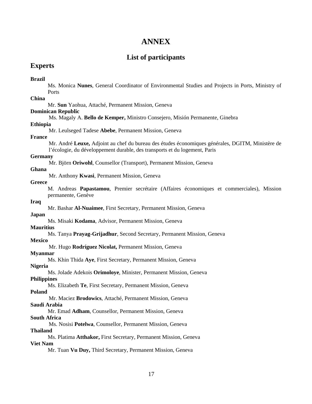# **ANNEX**

# **List of participants**

## **Experts**

#### **Brazil**

Ms. Monica **Nunes**, General Coordinator of Environmental Studies and Projects in Ports, Ministry of Ports

#### **China**

Mr. **Sun** Yaohua, Attaché, Permanent Mission, Geneva

#### **Dominican Republic**

Ms. Magaly A. **Bello de Kemper,** Ministro Consejero, Misión Permanente, Ginebra

#### **Ethiopia**

Mr. Leulseged Tadese **Abebe**, Permanent Mission, Geneva

#### **France**

Mr. André **Leuxe,** Adjoint au chef du bureau des études économiques générales, DGITM, Ministère de l'écologie, du développement durable, des transports et du logement, Paris

#### **Germany**

Mr. Björn **Oriwohl**, Counsellor (Transport), Permanent Mission, Geneva

#### **Ghana**

Mr. Anthony **Kwasi**, Permanent Mission, Geneva

#### **Greece**

M. Andreas **Papastamou**, Premier secrétaire (Affaires économiques et commerciales), Mission permanente, Genève

#### **Iraq**

Mr. Bashar **Al-Nuaimee**, First Secretary, Permanent Mission, Geneva

#### **Japan**

Ms. Misaki **Kodama**, Advisor, Permanent Mission, Geneva

#### **Mauritius**

Ms. Tanya **Prayag-Grijadhur**, Second Secretary, Permanent Mission, Geneva

#### **Mexico**

Mr. Hugo **Rodríguez Nicolat,** Permanent Mission, Geneva

#### **Myanmar**

Ms. Khin Thida **Aye**, First Secretary, Permanent Mission, Geneva

# **Nigeria**

Ms. Jolade Adekois **Orimoloye**, Minister, Permanent Mission, Geneva

#### **Philippines**

Ms. Elizabeth **Te**, First Secretary, Permanent Mission, Geneva

#### **Poland**

Mr. Maciez **Brodowics**, Attaché, Permanent Mission, Geneva **Saudi Arabia** 

Mr. Emad **Adham**, Counsellor, Permanent Mission, Geneva **South Africa** 

Ms. Nosisi **Potelwa**, Counsellor, Permanent Mission, Geneva

#### **Thailand**

Ms. Platima **Atthakor,** First Secretary, Permanent Mission, Geneva **Viet Nam** 

Mr. Tuan **Vu Duy,** Third Secretary, Permanent Mission, Geneva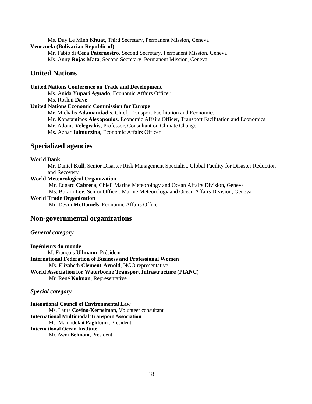#### Ms. Duy Le Minh **Khuat**, Third Secretary, Permanent Mission, Geneva **Venezuela (Bolivarian Republic of)**

Mr. Fabio di **Cera Paternostro,** Second Secretary, Permanent Mission, Geneva Ms. Anny **Rojas Mata**, Second Secretary, Permanent Mission, Geneva

## **United Nations**

#### **United Nations Conference on Trade and Development**

Ms. Anida **Yupari Aguado**, Economic Affairs Officer Ms. Roshni **Dave** 

#### **United Nations Economic Commission for Europe**

Mr. Michalis **Adamantiadis**, Chief, Transport Facilitation and Economics

Mr. Konstantinos **Alexopoulos**, Economic Affairs Officer, Transport Facilitation and Economics

Mr. Adonis **Velegrakis,** Professor, Consultant on Climate Change

Ms. Azhar **Jaimurzina**, Economic Affairs Officer

#### **Specialized agencies**

#### **World Bank**

Mr. Daniel **Kull**, Senior Disaster Risk Management Specialist, Global Facility for Disaster Reduction and Recovery

#### **World Meteorological Organization**

Mr. Edgard **Cabrera**, Chief, Marine Meteorology and Ocean Affairs Division, Geneva

Ms. Boram **Lee**, Senior Officer, Marine Meteorology and Ocean Affairs Division, Geneva

#### **World Trade Organization**

Mr. Devin **McDaniels**, Economic Affairs Officer

#### **Non-governmental organizations**

#### *General category*

**Ingénieurs du monde**  M. François **Ullmann**, Président **International Federation of Business and Professional Women**  Ms. Elizabeth **Clement-Arnold**, NGO representative **World Association for Waterborne Transport Infrastructure (PIANC)**  Mr. René **Kolman**, Representative

#### *Special category*

**Intenational Council of Environmental Law** Ms. Laura **Covino-Kerpelman**, Volunteer consultant **International Multimodal Transport Association**  Ms. Mahindokht **Faghfouri**, President **International Ocean Institute**  Mr. Awni **Behnam**, President